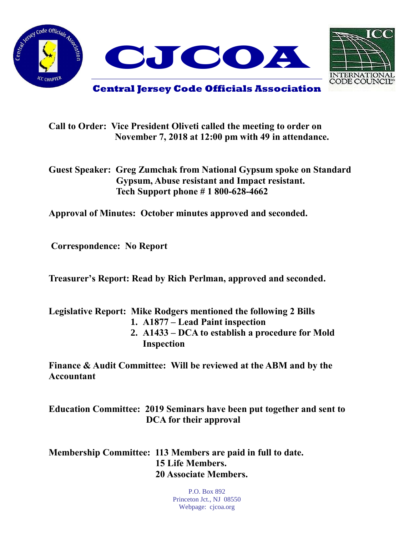



**Central Jersey Code Officials Association**

**Call to Order: Vice President Oliveti called the meeting to order on November 7, 2018 at 12:00 pm with 49 in attendance.**

**Guest Speaker: Greg Zumchak from National Gypsum spoke on Standard Gypsum, Abuse resistant and Impact resistant. Tech Support phone # 1 800-628-4662**

**Approval of Minutes: October minutes approved and seconded.** 

**Correspondence: No Report**

**Treasurer's Report: Read by Rich Perlman, approved and seconded.** 

**Legislative Report: Mike Rodgers mentioned the following 2 Bills**

- **1. A1877 – Lead Paint inspection**
- **2. A1433 – DCA to establish a procedure for Mold Inspection**

**Finance & Audit Committee: Will be reviewed at the ABM and by the Accountant**

**Education Committee: 2019 Seminars have been put together and sent to DCA for their approval**

**Membership Committee: 113 Members are paid in full to date. 15 Life Members. 20 Associate Members.**

> P.O. Box 892 Princeton Jct., NJ 08550 Webpage: cjcoa.org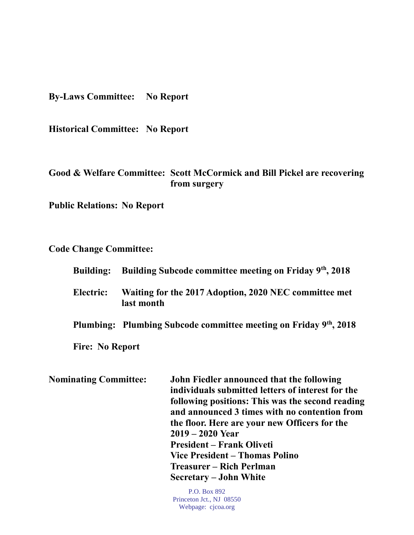**By-Laws Committee: No Report**

**Historical Committee: No Report**

## **Good & Welfare Committee: Scott McCormick and Bill Pickel are recovering from surgery**

**Public Relations: No Report**

**Code Change Committee:** 

| <b>Building:</b>       | Building Subcode committee meeting on Friday 9th, 2018              |  |
|------------------------|---------------------------------------------------------------------|--|
| Electric:              | Waiting for the 2017 Adoption, 2020 NEC committee met<br>last month |  |
|                        | Plumbing: Plumbing Subcode committee meeting on Friday 9th, 2018    |  |
| <b>Fire: No Report</b> |                                                                     |  |
| inatino Committee•     | John Fiedler announced that the following.                          |  |

**Nominating Committee: John Fiedler announced that the following individuals submitted letters of interest for the following positions: This was the second reading and announced 3 times with no contention from the floor. Here are your new Officers for the 2019 – 2020 Year President – Frank Oliveti Vice President – Thomas Polino Treasurer – Rich Perlman Secretary – John White**

> P.O. Box 892 Princeton Jct., NJ 08550 Webpage: cjcoa.org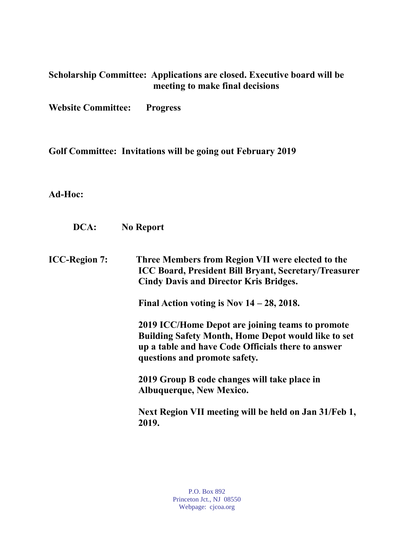| Scholarship Committee: Applications are closed. Executive board will be<br>meeting to make final decisions<br><b>Website Committee:</b><br><b>Progress</b> |                                                                                                                                                                                                       |  |
|------------------------------------------------------------------------------------------------------------------------------------------------------------|-------------------------------------------------------------------------------------------------------------------------------------------------------------------------------------------------------|--|
|                                                                                                                                                            |                                                                                                                                                                                                       |  |
| Ad-Hoc:                                                                                                                                                    |                                                                                                                                                                                                       |  |
| DCA:                                                                                                                                                       | <b>No Report</b>                                                                                                                                                                                      |  |
| <b>ICC-Region 7:</b>                                                                                                                                       | Three Members from Region VII were elected to the<br>ICC Board, President Bill Bryant, Secretary/Treasurer<br><b>Cindy Davis and Director Kris Bridges.</b>                                           |  |
|                                                                                                                                                            | Final Action voting is Nov $14 - 28$ , 2018.                                                                                                                                                          |  |
|                                                                                                                                                            | 2019 ICC/Home Depot are joining teams to promote<br><b>Building Safety Month, Home Depot would like to set</b><br>up a table and have Code Officials there to answer<br>questions and promote safety. |  |
|                                                                                                                                                            | 2019 Group B code changes will take place in<br><b>Albuquerque, New Mexico.</b>                                                                                                                       |  |
|                                                                                                                                                            | Next Region VII meeting will be held on Jan 31/Feb 1,<br>2019.                                                                                                                                        |  |
|                                                                                                                                                            |                                                                                                                                                                                                       |  |